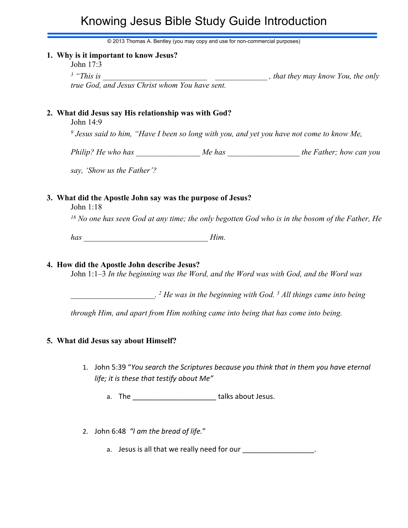# Knowing Jesus Bible Study Guide Introduction

© 2013 Thomas A. Bentley (you may copy and use for non-commercial purposes)

#### **1. Why is it important to know Jesus?**

John 17:3

*3 "This is \_\_\_\_\_\_\_\_\_\_\_\_\_\_\_\_\_\_\_\_\_\_\_\_\_\_ \_\_\_\_\_\_\_\_\_\_\_\_\_ , that they may know You, the only*

*true God, and Jesus Christ whom You have sent.*

## **2. What did Jesus say His relationship was with God?**

John 14:9

*9 Jesus said to him, "Have I been so long with you, and yet you have not come to know Me,*

*Philip? He who has*  $Me$  has  $Me$  has  $the$  Father; how can you

*say, 'Show us the Father'?*

### **3. What did the Apostle John say was the purpose of Jesus?**

John 1:18

*<sup>18</sup> No one has seen God at any time; the only begotten God who is in the bosom of the Father, He*

*has \_\_\_\_\_\_\_\_\_\_\_\_\_\_\_\_\_\_\_\_\_\_\_\_\_\_\_\_\_\_\_ Him.*

#### **4. How did the Apostle John describe Jesus?**

John 1:1–3 *In the beginning was the Word, and the Word was with God, and the Word was*

*\_\_\_\_\_\_\_\_\_\_\_\_\_\_\_\_\_\_\_\_\_. 2 He was in the beginning with God. <sup>3</sup> All things came into being*

*through Him, and apart from Him nothing came into being that has come into being.*

## **5. What did Jesus say about Himself?**

- 1. John 5:39 "*You search the Scriptures because you think that in them you have eternal life; it is these that testify about Me"*
	- a. The **all take talks about Jesus.**
- 2. John 6:48 *"I am the bread of life.*"
	- a. Jesus is all that we really need for our \_\_\_\_\_\_\_\_\_\_\_\_\_\_\_\_\_\_.